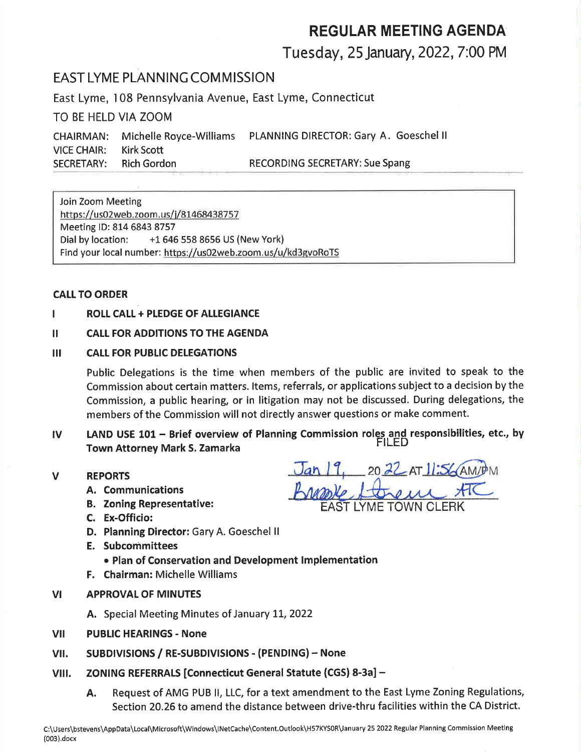# REGULAR MEETING AGENDA

### Tuesday, 25January,2022, 7:00 PM

### EAST LYME PLANNING COMMISSION

East Lyme, 108 Pennsylvania Avenue, East Lyme, Connecticut

TO BE HELD VIA ZOOM

CHAIRMAN: Michelle Royce-Williams PLANNING DIRECTOR: Gary A. Goeschel ll VICE CHAIR: Kirk Scott SECRETARY: Rich Gordon RECORDING SECRETARY: Sue Spang

Join Zoom Meeting https://us02web.zoom.us/j/81468438757 Meeting lD: 814 6843 8757 Dial by location: +1 646 558 8656 US (New York) Find your local number: https://usO2web.zoom.us/u/kd3gvoRoTS

#### CALL TO ORDER

ROLL CALL + PLEDGE OF ALLEGIANCE

#### II CALL FOR ADDITIONS TO THE AGENDA

#### III CALL FOR PUBLIC DELEGATIONS

Public Delegations is the time when members of the public are invited to speak to the Commission about certain matters. ltems, referrals, or applications subject to a decision by the Commission, a public hearing, or in litigation may not be discussed. During delegations, the members of the Commission will not directly answer questions or make comment.

- IV LAND USE  $101 -$  Brief overview of Planning Commission roles and responsibilities, etc., by Town Attorney Mark S. Zamarka
- V REPORTS
	- A. Communications
	- **B. Zoning Representative:**
	- C. Ex-Officio:
	- D. Planning Director: Gary A. Goeschel ll
	- E. Subcommittees
		- o Plan of Conservation and Development lmplementation
	- F. Chairman: Michelle Williams
- VI APPROVAL OF MINUTES
	- A. Special Meeting Minutes of January 11, 2022
- vI PUBLIC HEARINGS - None
- vil. SUBDIVISIONS / RE-SUBDIVISIONS - (PENDING) - None
- **VIII.** ZONING REFERRALS [Connecticut General Statute (CGS) 8-3a] -
	- A. Request of AMG PUB ll, LLC, for a text amendment to the East Lyme Zoning Regulations, Section 20.26 to amend the distance between drive-thru facilities within the CA District.

 $Jan 19$ ,  $2022$  AT  $1!56$  AM/PM tonem ATC EAST LYME TOWN CLERK